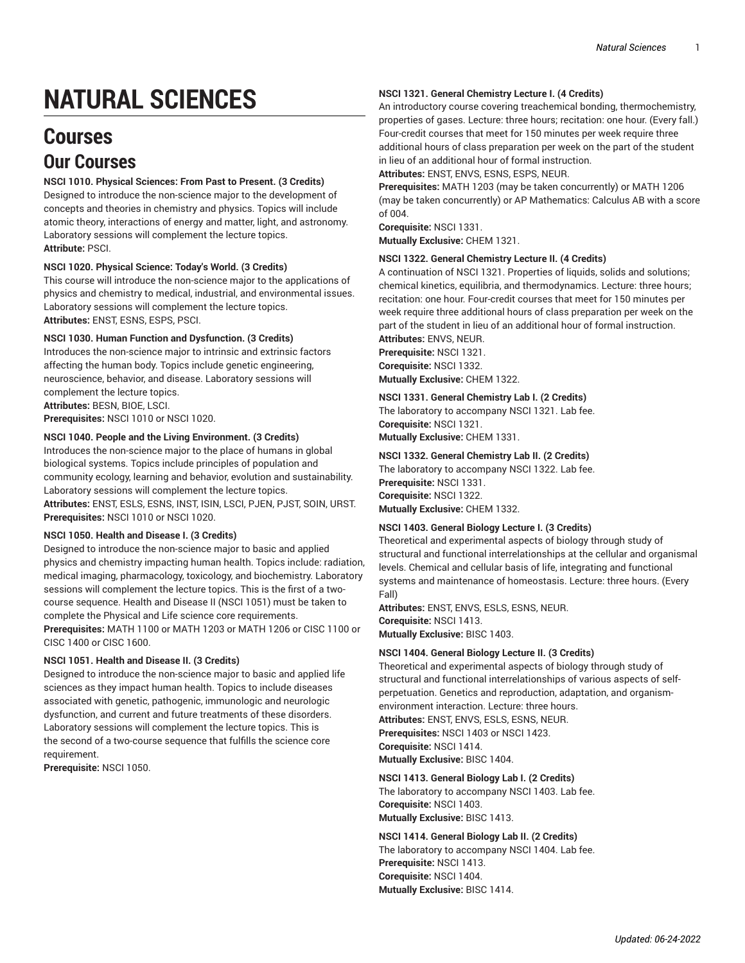# **NATURAL SCIENCES**

# **Courses Our Courses**

# **NSCI 1010. Physical Sciences: From Past to Present. (3 Credits)**

Designed to introduce the non-science major to the development of concepts and theories in chemistry and physics. Topics will include atomic theory, interactions of energy and matter, light, and astronomy. Laboratory sessions will complement the lecture topics. **Attribute:** PSCI.

# **NSCI 1020. Physical Science: Today's World. (3 Credits)**

This course will introduce the non-science major to the applications of physics and chemistry to medical, industrial, and environmental issues. Laboratory sessions will complement the lecture topics. **Attributes:** ENST, ESNS, ESPS, PSCI.

# **NSCI 1030. Human Function and Dysfunction. (3 Credits)**

Introduces the non-science major to intrinsic and extrinsic factors affecting the human body. Topics include genetic engineering, neuroscience, behavior, and disease. Laboratory sessions will complement the lecture topics.

**Attributes:** BESN, BIOE, LSCI. **Prerequisites:** NSCI 1010 or NSCI 1020.

# **NSCI 1040. People and the Living Environment. (3 Credits)**

Introduces the non-science major to the place of humans in global biological systems. Topics include principles of population and community ecology, learning and behavior, evolution and sustainability. Laboratory sessions will complement the lecture topics. **Attributes:** ENST, ESLS, ESNS, INST, ISIN, LSCI, PJEN, PJST, SOIN, URST. **Prerequisites:** NSCI 1010 or NSCI 1020.

#### **NSCI 1050. Health and Disease I. (3 Credits)**

Designed to introduce the non-science major to basic and applied physics and chemistry impacting human health. Topics include: radiation, medical imaging, pharmacology, toxicology, and biochemistry. Laboratory sessions will complement the lecture topics. This is the first of a twocourse sequence. Health and Disease II (NSCI 1051) must be taken to complete the Physical and Life science core requirements. **Prerequisites:** MATH 1100 or MATH 1203 or MATH 1206 or CISC 1100 or

CISC 1400 or CISC 1600.

# **NSCI 1051. Health and Disease II. (3 Credits)**

Designed to introduce the non-science major to basic and applied life sciences as they impact human health. Topics to include diseases associated with genetic, pathogenic, immunologic and neurologic dysfunction, and current and future treatments of these disorders. Laboratory sessions will complement the lecture topics. This is the second of a two-course sequence that fulfills the science core requirement.

**Prerequisite:** NSCI 1050.

#### **NSCI 1321. General Chemistry Lecture I. (4 Credits)**

An introductory course covering treachemical bonding, thermochemistry, properties of gases. Lecture: three hours; recitation: one hour. (Every fall.) Four-credit courses that meet for 150 minutes per week require three additional hours of class preparation per week on the part of the student in lieu of an additional hour of formal instruction. **Attributes:** ENST, ENVS, ESNS, ESPS, NEUR.

**Prerequisites:** MATH 1203 (may be taken concurrently) or MATH 1206 (may be taken concurrently) or AP Mathematics: Calculus AB with a score of 004.

**Corequisite:** NSCI 1331. **Mutually Exclusive:** CHEM 1321.

#### **NSCI 1322. General Chemistry Lecture II. (4 Credits)**

A continuation of NSCI 1321. Properties of liquids, solids and solutions; chemical kinetics, equilibria, and thermodynamics. Lecture: three hours; recitation: one hour. Four-credit courses that meet for 150 minutes per week require three additional hours of class preparation per week on the part of the student in lieu of an additional hour of formal instruction.

**Attributes:** ENVS, NEUR. **Prerequisite:** NSCI 1321. **Corequisite:** NSCI 1332. **Mutually Exclusive:** CHEM 1322.

#### **NSCI 1331. General Chemistry Lab I. (2 Credits)**

The laboratory to accompany NSCI 1321. Lab fee.

**Corequisite:** NSCI 1321. **Mutually Exclusive:** CHEM 1331.

**NSCI 1332. General Chemistry Lab II. (2 Credits)** The laboratory to accompany NSCI 1322. Lab fee. **Prerequisite:** NSCI 1331. **Corequisite:** NSCI 1322. **Mutually Exclusive:** CHEM 1332.

# **NSCI 1403. General Biology Lecture I. (3 Credits)**

Theoretical and experimental aspects of biology through study of structural and functional interrelationships at the cellular and organismal levels. Chemical and cellular basis of life, integrating and functional systems and maintenance of homeostasis. Lecture: three hours. (Every Fall)

**Attributes:** ENST, ENVS, ESLS, ESNS, NEUR. **Corequisite:** NSCI 1413.

**Mutually Exclusive:** BISC 1403.

#### **NSCI 1404. General Biology Lecture II. (3 Credits)**

Theoretical and experimental aspects of biology through study of structural and functional interrelationships of various aspects of selfperpetuation. Genetics and reproduction, adaptation, and organismenvironment interaction. Lecture: three hours. **Attributes:** ENST, ENVS, ESLS, ESNS, NEUR. **Prerequisites:** NSCI 1403 or NSCI 1423.

**Corequisite:** NSCI 1414.

**Mutually Exclusive:** BISC 1404.

#### **NSCI 1413. General Biology Lab I. (2 Credits)**

The laboratory to accompany NSCI 1403. Lab fee. **Corequisite:** NSCI 1403. **Mutually Exclusive:** BISC 1413.

**NSCI 1414. General Biology Lab II. (2 Credits)** The laboratory to accompany NSCI 1404. Lab fee. **Prerequisite:** NSCI 1413. **Corequisite:** NSCI 1404. **Mutually Exclusive:** BISC 1414.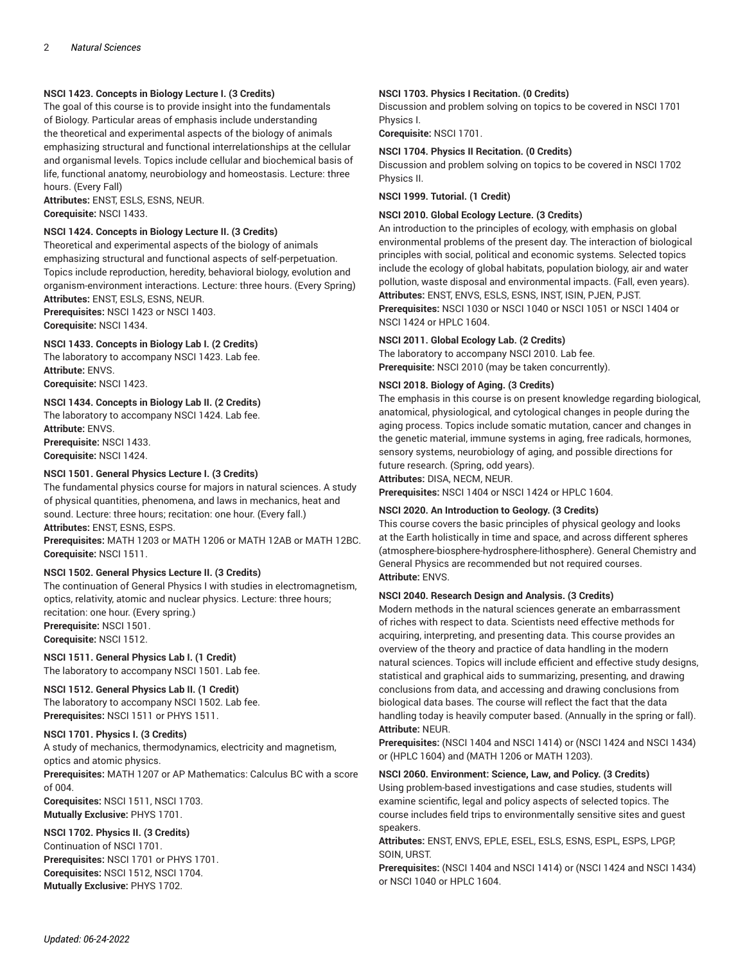# **NSCI 1423. Concepts in Biology Lecture I. (3 Credits)**

The goal of this course is to provide insight into the fundamentals of Biology. Particular areas of emphasis include understanding the theoretical and experimental aspects of the biology of animals emphasizing structural and functional interrelationships at the cellular and organismal levels. Topics include cellular and biochemical basis of life, functional anatomy, neurobiology and homeostasis. Lecture: three hours. (Every Fall)

**Attributes:** ENST, ESLS, ESNS, NEUR. **Corequisite:** NSCI 1433.

# **NSCI 1424. Concepts in Biology Lecture II. (3 Credits)**

Theoretical and experimental aspects of the biology of animals emphasizing structural and functional aspects of self-perpetuation. Topics include reproduction, heredity, behavioral biology, evolution and organism-environment interactions. Lecture: three hours. (Every Spring) **Attributes:** ENST, ESLS, ESNS, NEUR.

**Prerequisites:** NSCI 1423 or NSCI 1403. **Corequisite:** NSCI 1434.

# **NSCI 1433. Concepts in Biology Lab I. (2 Credits)**

The laboratory to accompany NSCI 1423. Lab fee. **Attribute:** ENVS.

**Corequisite:** NSCI 1423.

# **NSCI 1434. Concepts in Biology Lab II. (2 Credits)**

The laboratory to accompany NSCI 1424. Lab fee. **Attribute:** ENVS. **Prerequisite:** NSCI 1433. **Corequisite:** NSCI 1424.

# **NSCI 1501. General Physics Lecture I. (3 Credits)**

The fundamental physics course for majors in natural sciences. A study of physical quantities, phenomena, and laws in mechanics, heat and sound. Lecture: three hours; recitation: one hour. (Every fall.) **Attributes:** ENST, ESNS, ESPS.

**Prerequisites:** MATH 1203 or MATH 1206 or MATH 12AB or MATH 12BC. **Corequisite:** NSCI 1511.

#### **NSCI 1502. General Physics Lecture II. (3 Credits)**

The continuation of General Physics I with studies in electromagnetism, optics, relativity, atomic and nuclear physics. Lecture: three hours; recitation: one hour. (Every spring.) **Prerequisite:** NSCI 1501.

**Corequisite:** NSCI 1512.

# **NSCI 1511. General Physics Lab I. (1 Credit)**

The laboratory to accompany NSCI 1501. Lab fee.

# **NSCI 1512. General Physics Lab II. (1 Credit)**

The laboratory to accompany NSCI 1502. Lab fee. **Prerequisites:** NSCI 1511 or PHYS 1511.

# **NSCI 1701. Physics I. (3 Credits)**

A study of mechanics, thermodynamics, electricity and magnetism, optics and atomic physics.

**Prerequisites:** MATH 1207 or AP Mathematics: Calculus BC with a score of 004. **Corequisites:** NSCI 1511, NSCI 1703.

**Mutually Exclusive:** PHYS 1701.

# **NSCI 1702. Physics II. (3 Credits)**

Continuation of NSCI 1701. **Prerequisites:** NSCI 1701 or PHYS 1701. **Corequisites:** NSCI 1512, NSCI 1704. **Mutually Exclusive:** PHYS 1702.

# **NSCI 1703. Physics I Recitation. (0 Credits)**

Discussion and problem solving on topics to be covered in NSCI 1701 Physics I.

**Corequisite:** NSCI 1701.

#### **NSCI 1704. Physics II Recitation. (0 Credits)**

Discussion and problem solving on topics to be covered in NSCI 1702 Physics II.

**NSCI 1999. Tutorial. (1 Credit)**

#### **NSCI 2010. Global Ecology Lecture. (3 Credits)**

An introduction to the principles of ecology, with emphasis on global environmental problems of the present day. The interaction of biological principles with social, political and economic systems. Selected topics include the ecology of global habitats, population biology, air and water pollution, waste disposal and environmental impacts. (Fall, even years). **Attributes:** ENST, ENVS, ESLS, ESNS, INST, ISIN, PJEN, PJST. **Prerequisites:** NSCI 1030 or NSCI 1040 or NSCI 1051 or NSCI 1404 or NSCI 1424 or HPLC 1604.

#### **NSCI 2011. Global Ecology Lab. (2 Credits)**

The laboratory to accompany NSCI 2010. Lab fee. **Prerequisite:** NSCI 2010 (may be taken concurrently).

# **NSCI 2018. Biology of Aging. (3 Credits)**

The emphasis in this course is on present knowledge regarding biological, anatomical, physiological, and cytological changes in people during the aging process. Topics include somatic mutation, cancer and changes in the genetic material, immune systems in aging, free radicals, hormones, sensory systems, neurobiology of aging, and possible directions for future research. (Spring, odd years).

**Attributes:** DISA, NECM, NEUR.

**Prerequisites:** NSCI 1404 or NSCI 1424 or HPLC 1604.

#### **NSCI 2020. An Introduction to Geology. (3 Credits)**

This course covers the basic principles of physical geology and looks at the Earth holistically in time and space, and across different spheres (atmosphere-biosphere-hydrosphere-lithosphere). General Chemistry and General Physics are recommended but not required courses. **Attribute:** ENVS.

#### **NSCI 2040. Research Design and Analysis. (3 Credits)**

Modern methods in the natural sciences generate an embarrassment of riches with respect to data. Scientists need effective methods for acquiring, interpreting, and presenting data. This course provides an overview of the theory and practice of data handling in the modern natural sciences. Topics will include efficient and effective study designs, statistical and graphical aids to summarizing, presenting, and drawing conclusions from data, and accessing and drawing conclusions from biological data bases. The course will reflect the fact that the data handling today is heavily computer based. (Annually in the spring or fall). **Attribute:** NEUR.

**Prerequisites:** (NSCI 1404 and NSCI 1414) or (NSCI 1424 and NSCI 1434) or (HPLC 1604) and (MATH 1206 or MATH 1203).

# **NSCI 2060. Environment: Science, Law, and Policy. (3 Credits)**

Using problem-based investigations and case studies, students will examine scientific, legal and policy aspects of selected topics. The course includes field trips to environmentally sensitive sites and guest speakers.

**Attributes:** ENST, ENVS, EPLE, ESEL, ESLS, ESNS, ESPL, ESPS, LPGP, SOIN, URST.

**Prerequisites:** (NSCI 1404 and NSCI 1414) or (NSCI 1424 and NSCI 1434) or NSCI 1040 or HPLC 1604.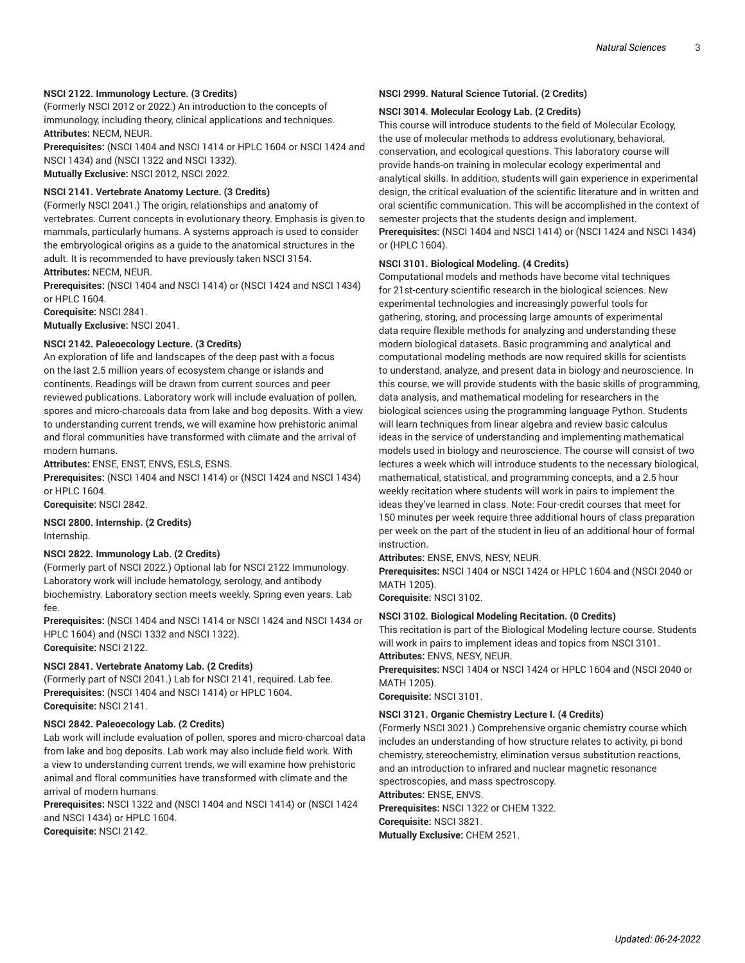#### **NSCI 2122. Immunology Lecture. (3 Credits)**

(Formerly NSCI 2012 or 2022.) An introduction to the concepts of immunology, including theory, clinical applications and techniques. **Attributes:** NECM, NEUR.

**Prerequisites:** (NSCI 1404 and NSCI 1414 or HPLC 1604 or NSCI 1424 and NSCI 1434) and (NSCI 1322 and NSCI 1332). **Mutually Exclusive:** NSCI 2012, NSCI 2022.

#### **NSCI 2141. Vertebrate Anatomy Lecture. (3 Credits)**

(Formerly NSCI 2041.) The origin, relationships and anatomy of vertebrates. Current concepts in evolutionary theory. Emphasis is given to mammals, particularly humans. A systems approach is used to consider the embryological origins as a guide to the anatomical structures in the adult. It is recommended to have previously taken NSCI 3154. **Attributes:** NECM, NEUR.

**Prerequisites:** (NSCI 1404 and NSCI 1414) or (NSCI 1424 and NSCI 1434) or HPLC 1604.

**Corequisite:** NSCI 2841.

**Mutually Exclusive:** NSCI 2041.

# **NSCI 2142. Paleoecology Lecture. (3 Credits)**

An exploration of life and landscapes of the deep past with a focus on the last 2.5 million years of ecosystem change or islands and continents. Readings will be drawn from current sources and peer reviewed publications. Laboratory work will include evaluation of pollen, spores and micro-charcoals data from lake and bog deposits. With a view to understanding current trends, we will examine how prehistoric animal and floral communities have transformed with climate and the arrival of modern humans.

**Attributes:** ENSE, ENST, ENVS, ESLS, ESNS.

**Prerequisites:** (NSCI 1404 and NSCI 1414) or (NSCI 1424 and NSCI 1434) or HPLC 1604.

**Corequisite:** NSCI 2842.

**NSCI 2800. Internship. (2 Credits)** Internship.

#### **NSCI 2822. Immunology Lab. (2 Credits)**

(Formerly part of NSCI 2022.) Optional lab for NSCI 2122 Immunology. Laboratory work will include hematology, serology, and antibody biochemistry. Laboratory section meets weekly. Spring even years. Lab fee.

**Prerequisites:** (NSCI 1404 and NSCI 1414 or NSCI 1424 and NSCI 1434 or HPLC 1604) and (NSCI 1332 and NSCI 1322). **Corequisite:** NSCI 2122.

#### **NSCI 2841. Vertebrate Anatomy Lab. (2 Credits)**

(Formerly part of NSCI 2041.) Lab for NSCI 2141, required. Lab fee. **Prerequisites:** (NSCI 1404 and NSCI 1414) or HPLC 1604. **Corequisite:** NSCI 2141.

#### **NSCI 2842. Paleoecology Lab. (2 Credits)**

Lab work will include evaluation of pollen, spores and micro-charcoal data from lake and bog deposits. Lab work may also include field work. With a view to understanding current trends, we will examine how prehistoric animal and floral communities have transformed with climate and the arrival of modern humans.

**Prerequisites:** NSCI 1322 and (NSCI 1404 and NSCI 1414) or (NSCI 1424 and NSCI 1434) or HPLC 1604.

**Corequisite:** NSCI 2142.

#### **NSCI 2999. Natural Science Tutorial. (2 Credits)**

#### **NSCI 3014. Molecular Ecology Lab. (2 Credits)**

This course will introduce students to the field of Molecular Ecology, the use of molecular methods to address evolutionary, behavioral, conservation, and ecological questions. This laboratory course will provide hands-on training in molecular ecology experimental and analytical skills. In addition, students will gain experience in experimental design, the critical evaluation of the scientific literature and in written and oral scientific communication. This will be accomplished in the context of semester projects that the students design and implement. **Prerequisites:** (NSCI 1404 and NSCI 1414) or (NSCI 1424 and NSCI 1434) or (HPLC 1604).

#### **NSCI 3101. Biological Modeling. (4 Credits)**

Computational models and methods have become vital techniques for 21st-century scientific research in the biological sciences. New experimental technologies and increasingly powerful tools for gathering, storing, and processing large amounts of experimental data require flexible methods for analyzing and understanding these modern biological datasets. Basic programming and analytical and computational modeling methods are now required skills for scientists to understand, analyze, and present data in biology and neuroscience. In this course, we will provide students with the basic skills of programming, data analysis, and mathematical modeling for researchers in the biological sciences using the programming language Python. Students will learn techniques from linear algebra and review basic calculus ideas in the service of understanding and implementing mathematical models used in biology and neuroscience. The course will consist of two lectures a week which will introduce students to the necessary biological, mathematical, statistical, and programming concepts, and a 2.5 hour weekly recitation where students will work in pairs to implement the ideas they've learned in class. Note: Four-credit courses that meet for 150 minutes per week require three additional hours of class preparation per week on the part of the student in lieu of an additional hour of formal instruction.

#### **Attributes:** ENSE, ENVS, NESY, NEUR.

**Prerequisites:** NSCI 1404 or NSCI 1424 or HPLC 1604 and (NSCI 2040 or MATH 1205).

**Corequisite:** NSCI 3102.

#### **NSCI 3102. Biological Modeling Recitation. (0 Credits)**

This recitation is part of the Biological Modeling lecture course. Students will work in pairs to implement ideas and topics from NSCI 3101. **Attributes:** ENVS, NESY, NEUR.

**Prerequisites:** NSCI 1404 or NSCI 1424 or HPLC 1604 and (NSCI 2040 or MATH 1205).

**Corequisite:** NSCI 3101.

#### **NSCI 3121. Organic Chemistry Lecture I. (4 Credits)**

(Formerly NSCI 3021.) Comprehensive organic chemistry course which includes an understanding of how structure relates to activity, pi bond chemistry, stereochemistry, elimination versus substitution reactions, and an introduction to infrared and nuclear magnetic resonance spectroscopies, and mass spectroscopy.

**Attributes:** ENSE, ENVS.

**Prerequisites:** NSCI 1322 or CHEM 1322.

**Corequisite:** NSCI 3821.

**Mutually Exclusive:** CHEM 2521.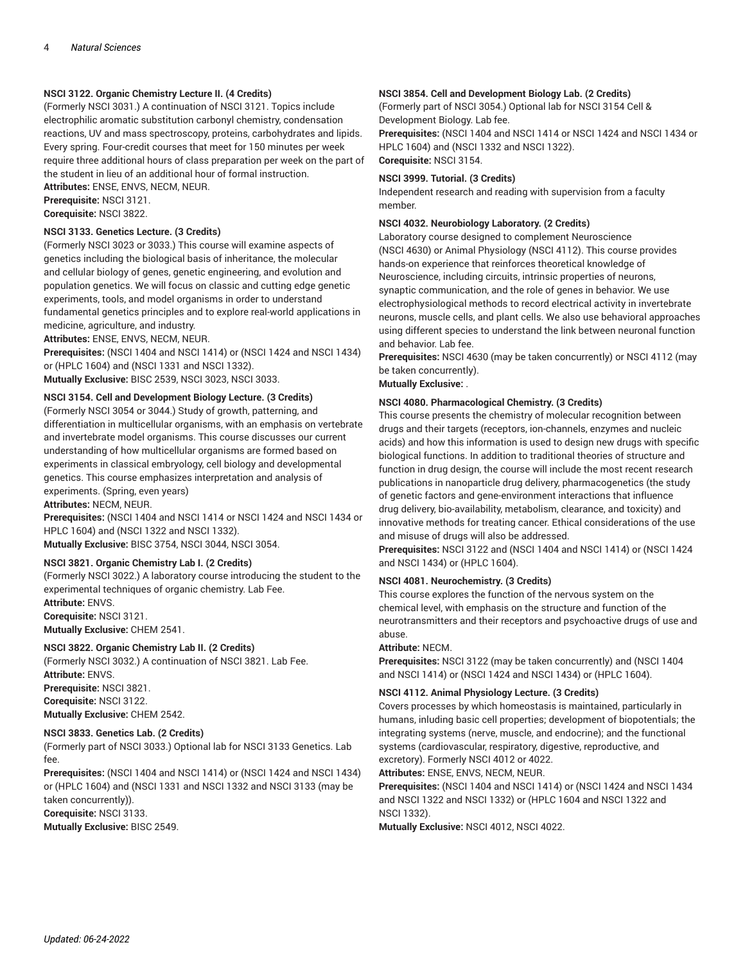# **NSCI 3122. Organic Chemistry Lecture II. (4 Credits)**

(Formerly NSCI 3031.) A continuation of NSCI 3121. Topics include electrophilic aromatic substitution carbonyl chemistry, condensation reactions, UV and mass spectroscopy, proteins, carbohydrates and lipids. Every spring. Four-credit courses that meet for 150 minutes per week require three additional hours of class preparation per week on the part of the student in lieu of an additional hour of formal instruction.

**Attributes:** ENSE, ENVS, NECM, NEUR.

**Prerequisite:** NSCI 3121. **Corequisite:** NSCI 3822.

# **NSCI 3133. Genetics Lecture. (3 Credits)**

(Formerly NSCI 3023 or 3033.) This course will examine aspects of genetics including the biological basis of inheritance, the molecular and cellular biology of genes, genetic engineering, and evolution and population genetics. We will focus on classic and cutting edge genetic experiments, tools, and model organisms in order to understand fundamental genetics principles and to explore real-world applications in medicine, agriculture, and industry.

**Attributes:** ENSE, ENVS, NECM, NEUR.

**Prerequisites:** (NSCI 1404 and NSCI 1414) or (NSCI 1424 and NSCI 1434) or (HPLC 1604) and (NSCI 1331 and NSCI 1332).

**Mutually Exclusive:** BISC 2539, NSCI 3023, NSCI 3033.

# **NSCI 3154. Cell and Development Biology Lecture. (3 Credits)**

(Formerly NSCI 3054 or 3044.) Study of growth, patterning, and differentiation in multicellular organisms, with an emphasis on vertebrate and invertebrate model organisms. This course discusses our current understanding of how multicellular organisms are formed based on experiments in classical embryology, cell biology and developmental genetics. This course emphasizes interpretation and analysis of experiments. (Spring, even years)

**Attributes:** NECM, NEUR.

**Prerequisites:** (NSCI 1404 and NSCI 1414 or NSCI 1424 and NSCI 1434 or HPLC 1604) and (NSCI 1322 and NSCI 1332). **Mutually Exclusive:** BISC 3754, NSCI 3044, NSCI 3054.

**NSCI 3821. Organic Chemistry Lab I. (2 Credits)**

(Formerly NSCI 3022.) A laboratory course introducing the student to the experimental techniques of organic chemistry. Lab Fee.

**Attribute:** ENVS.

**Corequisite:** NSCI 3121. **Mutually Exclusive:** CHEM 2541.

#### **NSCI 3822. Organic Chemistry Lab II. (2 Credits)**

(Formerly NSCI 3032.) A continuation of NSCI 3821. Lab Fee. **Attribute:** ENVS. **Prerequisite:** NSCI 3821.

**Corequisite:** NSCI 3122.

**Mutually Exclusive:** CHEM 2542.

#### **NSCI 3833. Genetics Lab. (2 Credits)**

(Formerly part of NSCI 3033.) Optional lab for NSCI 3133 Genetics. Lab fee.

**Prerequisites:** (NSCI 1404 and NSCI 1414) or (NSCI 1424 and NSCI 1434) or (HPLC 1604) and (NSCI 1331 and NSCI 1332 and NSCI 3133 (may be taken concurrently)). **Corequisite:** NSCI 3133.

**Mutually Exclusive:** BISC 2549.

# **NSCI 3854. Cell and Development Biology Lab. (2 Credits)**

(Formerly part of NSCI 3054.) Optional lab for NSCI 3154 Cell & Development Biology. Lab fee. **Prerequisites:** (NSCI 1404 and NSCI 1414 or NSCI 1424 and NSCI 1434 or HPLC 1604) and (NSCI 1332 and NSCI 1322). **Corequisite:** NSCI 3154.

# **NSCI 3999. Tutorial. (3 Credits)**

Independent research and reading with supervision from a faculty member.

#### **NSCI 4032. Neurobiology Laboratory. (2 Credits)**

Laboratory course designed to complement Neuroscience (NSCI 4630) or Animal Physiology (NSCI 4112). This course provides hands-on experience that reinforces theoretical knowledge of Neuroscience, including circuits, intrinsic properties of neurons, synaptic communication, and the role of genes in behavior. We use electrophysiological methods to record electrical activity in invertebrate neurons, muscle cells, and plant cells. We also use behavioral approaches using different species to understand the link between neuronal function and behavior. Lab fee.

**Prerequisites:** NSCI 4630 (may be taken concurrently) or NSCI 4112 (may be taken concurrently).

#### **Mutually Exclusive:** .

# **NSCI 4080. Pharmacological Chemistry. (3 Credits)**

This course presents the chemistry of molecular recognition between drugs and their targets (receptors, ion-channels, enzymes and nucleic acids) and how this information is used to design new drugs with specific biological functions. In addition to traditional theories of structure and function in drug design, the course will include the most recent research publications in nanoparticle drug delivery, pharmacogenetics (the study of genetic factors and gene-environment interactions that influence drug delivery, bio-availability, metabolism, clearance, and toxicity) and innovative methods for treating cancer. Ethical considerations of the use and misuse of drugs will also be addressed.

**Prerequisites:** NSCI 3122 and (NSCI 1404 and NSCI 1414) or (NSCI 1424 and NSCI 1434) or (HPLC 1604).

# **NSCI 4081. Neurochemistry. (3 Credits)**

This course explores the function of the nervous system on the chemical level, with emphasis on the structure and function of the neurotransmitters and their receptors and psychoactive drugs of use and abuse.

#### **Attribute:** NECM.

**Prerequisites:** NSCI 3122 (may be taken concurrently) and (NSCI 1404 and NSCI 1414) or (NSCI 1424 and NSCI 1434) or (HPLC 1604).

#### **NSCI 4112. Animal Physiology Lecture. (3 Credits)**

Covers processes by which homeostasis is maintained, particularly in humans, inluding basic cell properties; development of biopotentials; the integrating systems (nerve, muscle, and endocrine); and the functional systems (cardiovascular, respiratory, digestive, reproductive, and excretory). Formerly NSCI 4012 or 4022.

**Attributes:** ENSE, ENVS, NECM, NEUR.

**Prerequisites:** (NSCI 1404 and NSCI 1414) or (NSCI 1424 and NSCI 1434 and NSCI 1322 and NSCI 1332) or (HPLC 1604 and NSCI 1322 and NSCI 1332).

**Mutually Exclusive:** NSCI 4012, NSCI 4022.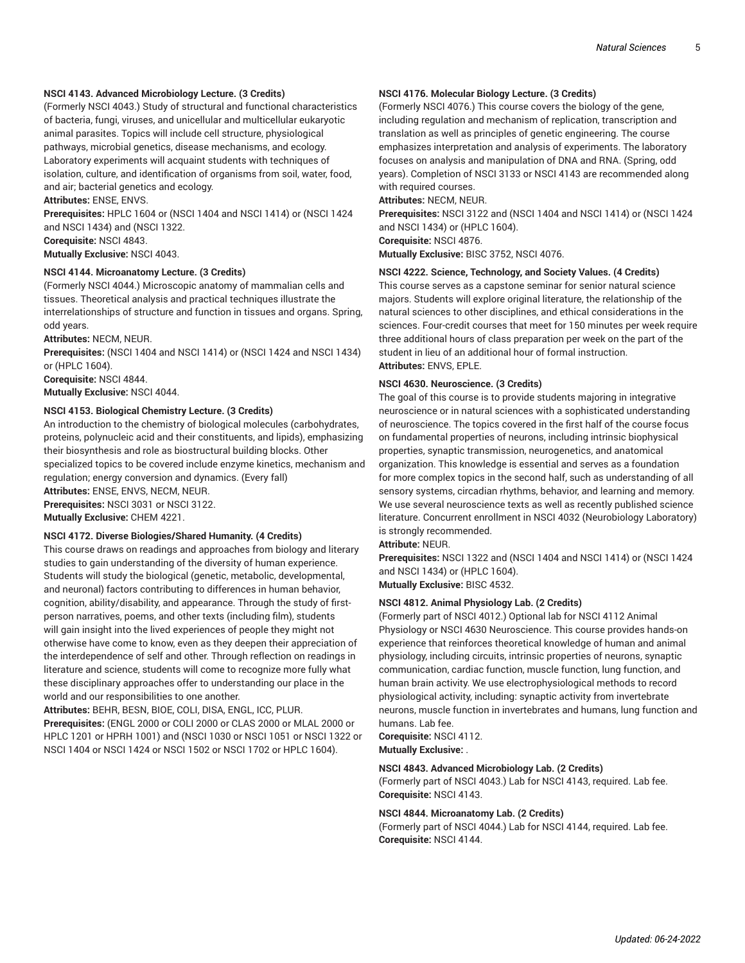#### **NSCI 4143. Advanced Microbiology Lecture. (3 Credits)**

(Formerly NSCI 4043.) Study of structural and functional characteristics of bacteria, fungi, viruses, and unicellular and multicellular eukaryotic animal parasites. Topics will include cell structure, physiological pathways, microbial genetics, disease mechanisms, and ecology. Laboratory experiments will acquaint students with techniques of isolation, culture, and identification of organisms from soil, water, food, and air; bacterial genetics and ecology.

**Attributes:** ENSE, ENVS.

**Prerequisites:** HPLC 1604 or (NSCI 1404 and NSCI 1414) or (NSCI 1424 and NSCI 1434) and (NSCI 1322.

**Corequisite:** NSCI 4843.

**Mutually Exclusive:** NSCI 4043.

### **NSCI 4144. Microanatomy Lecture. (3 Credits)**

(Formerly NSCI 4044.) Microscopic anatomy of mammalian cells and tissues. Theoretical analysis and practical techniques illustrate the interrelationships of structure and function in tissues and organs. Spring, odd years.

**Attributes:** NECM, NEUR.

**Prerequisites:** (NSCI 1404 and NSCI 1414) or (NSCI 1424 and NSCI 1434) or (HPLC 1604).

**Corequisite:** NSCI 4844. **Mutually Exclusive:** NSCI 4044.

#### **NSCI 4153. Biological Chemistry Lecture. (3 Credits)**

An introduction to the chemistry of biological molecules (carbohydrates, proteins, polynucleic acid and their constituents, and lipids), emphasizing their biosynthesis and role as biostructural building blocks. Other specialized topics to be covered include enzyme kinetics, mechanism and regulation; energy conversion and dynamics. (Every fall)

**Attributes:** ENSE, ENVS, NECM, NEUR.

**Prerequisites:** NSCI 3031 or NSCI 3122.

**Mutually Exclusive:** CHEM 4221.

#### **NSCI 4172. Diverse Biologies/Shared Humanity. (4 Credits)**

This course draws on readings and approaches from biology and literary studies to gain understanding of the diversity of human experience. Students will study the biological (genetic, metabolic, developmental, and neuronal) factors contributing to differences in human behavior, cognition, ability/disability, and appearance. Through the study of firstperson narratives, poems, and other texts (including film), students will gain insight into the lived experiences of people they might not otherwise have come to know, even as they deepen their appreciation of the interdependence of self and other. Through reflection on readings in literature and science, students will come to recognize more fully what these disciplinary approaches offer to understanding our place in the world and our responsibilities to one another.

**Attributes:** BEHR, BESN, BIOE, COLI, DISA, ENGL, ICC, PLUR. **Prerequisites:** (ENGL 2000 or COLI 2000 or CLAS 2000 or MLAL 2000 or HPLC 1201 or HPRH 1001) and (NSCI 1030 or NSCI 1051 or NSCI 1322 or NSCI 1404 or NSCI 1424 or NSCI 1502 or NSCI 1702 or HPLC 1604).

# **NSCI 4176. Molecular Biology Lecture. (3 Credits)**

(Formerly NSCI 4076.) This course covers the biology of the gene, including regulation and mechanism of replication, transcription and translation as well as principles of genetic engineering. The course emphasizes interpretation and analysis of experiments. The laboratory focuses on analysis and manipulation of DNA and RNA. (Spring, odd years). Completion of NSCI 3133 or NSCI 4143 are recommended along with required courses.

#### **Attributes:** NECM, NEUR.

**Prerequisites:** NSCI 3122 and (NSCI 1404 and NSCI 1414) or (NSCI 1424 and NSCI 1434) or (HPLC 1604).

**Corequisite:** NSCI 4876.

**Mutually Exclusive:** BISC 3752, NSCI 4076.

# **NSCI 4222. Science, Technology, and Society Values. (4 Credits)**

This course serves as a capstone seminar for senior natural science majors. Students will explore original literature, the relationship of the natural sciences to other disciplines, and ethical considerations in the sciences. Four-credit courses that meet for 150 minutes per week require three additional hours of class preparation per week on the part of the student in lieu of an additional hour of formal instruction. **Attributes:** ENVS, EPLE.

#### **NSCI 4630. Neuroscience. (3 Credits)**

The goal of this course is to provide students majoring in integrative neuroscience or in natural sciences with a sophisticated understanding of neuroscience. The topics covered in the first half of the course focus on fundamental properties of neurons, including intrinsic biophysical properties, synaptic transmission, neurogenetics, and anatomical organization. This knowledge is essential and serves as a foundation for more complex topics in the second half, such as understanding of all sensory systems, circadian rhythms, behavior, and learning and memory. We use several neuroscience texts as well as recently published science literature. Concurrent enrollment in NSCI 4032 (Neurobiology Laboratory) is strongly recommended.

#### **Attribute:** NEUR.

**Prerequisites:** NSCI 1322 and (NSCI 1404 and NSCI 1414) or (NSCI 1424 and NSCI 1434) or (HPLC 1604).

**Mutually Exclusive:** BISC 4532.

#### **NSCI 4812. Animal Physiology Lab. (2 Credits)**

(Formerly part of NSCI 4012.) Optional lab for NSCI 4112 Animal Physiology or NSCI 4630 Neuroscience. This course provides hands-on experience that reinforces theoretical knowledge of human and animal physiology, including circuits, intrinsic properties of neurons, synaptic communication, cardiac function, muscle function, lung function, and human brain activity. We use electrophysiological methods to record physiological activity, including: synaptic activity from invertebrate neurons, muscle function in invertebrates and humans, lung function and humans. Lab fee.

**Corequisite:** NSCI 4112.

**Mutually Exclusive:** .

# **NSCI 4843. Advanced Microbiology Lab. (2 Credits)**

(Formerly part of NSCI 4043.) Lab for NSCI 4143, required. Lab fee. **Corequisite:** NSCI 4143.

#### **NSCI 4844. Microanatomy Lab. (2 Credits)**

(Formerly part of NSCI 4044.) Lab for NSCI 4144, required. Lab fee. **Corequisite:** NSCI 4144.